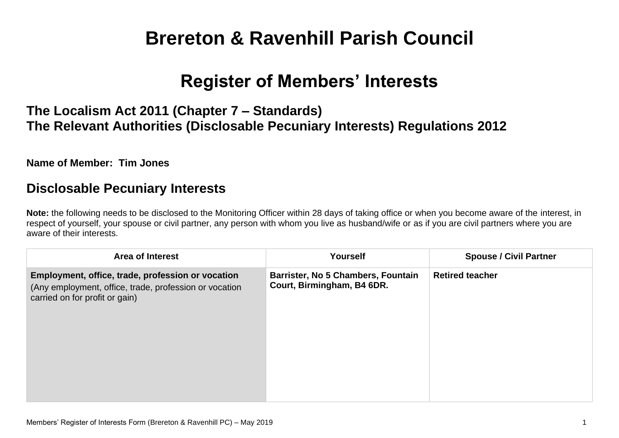# **Brereton & Ravenhill Parish Council**

## **Register of Members' Interests**

## **The Localism Act 2011 (Chapter 7 – Standards) The Relevant Authorities (Disclosable Pecuniary Interests) Regulations 2012**

#### **Name of Member: Tim Jones**

### **Disclosable Pecuniary Interests**

**Note:** the following needs to be disclosed to the Monitoring Officer within 28 days of taking office or when you become aware of the interest, in respect of yourself, your spouse or civil partner, any person with whom you live as husband/wife or as if you are civil partners where you are aware of their interests.

| <b>Area of Interest</b>                                                                                                                       | <b>Yourself</b>                                                  | <b>Spouse / Civil Partner</b> |
|-----------------------------------------------------------------------------------------------------------------------------------------------|------------------------------------------------------------------|-------------------------------|
| Employment, office, trade, profession or vocation<br>(Any employment, office, trade, profession or vocation<br>carried on for profit or gain) | Barrister, No 5 Chambers, Fountain<br>Court, Birmingham, B4 6DR. | <b>Retired teacher</b>        |
|                                                                                                                                               |                                                                  |                               |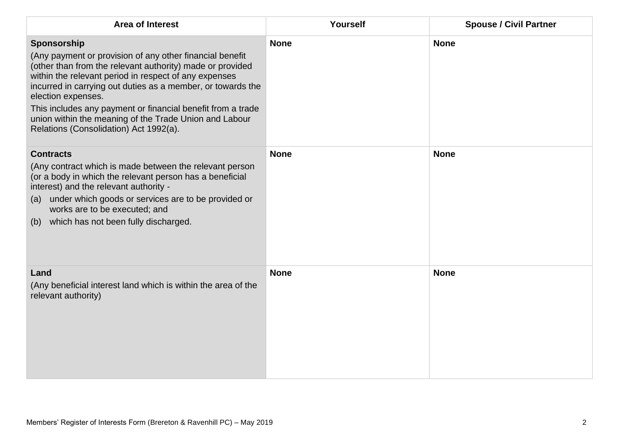| <b>Area of Interest</b>                                                                                                                                                                                                                                                                                                                                                                                                                               | Yourself    | <b>Spouse / Civil Partner</b> |
|-------------------------------------------------------------------------------------------------------------------------------------------------------------------------------------------------------------------------------------------------------------------------------------------------------------------------------------------------------------------------------------------------------------------------------------------------------|-------------|-------------------------------|
| Sponsorship<br>(Any payment or provision of any other financial benefit<br>(other than from the relevant authority) made or provided<br>within the relevant period in respect of any expenses<br>incurred in carrying out duties as a member, or towards the<br>election expenses.<br>This includes any payment or financial benefit from a trade<br>union within the meaning of the Trade Union and Labour<br>Relations (Consolidation) Act 1992(a). | <b>None</b> | <b>None</b>                   |
| <b>Contracts</b><br>(Any contract which is made between the relevant person<br>(or a body in which the relevant person has a beneficial<br>interest) and the relevant authority -<br>(a) under which goods or services are to be provided or<br>works are to be executed; and<br>(b) which has not been fully discharged.                                                                                                                             | <b>None</b> | <b>None</b>                   |
| Land<br>(Any beneficial interest land which is within the area of the<br>relevant authority)                                                                                                                                                                                                                                                                                                                                                          | <b>None</b> | <b>None</b>                   |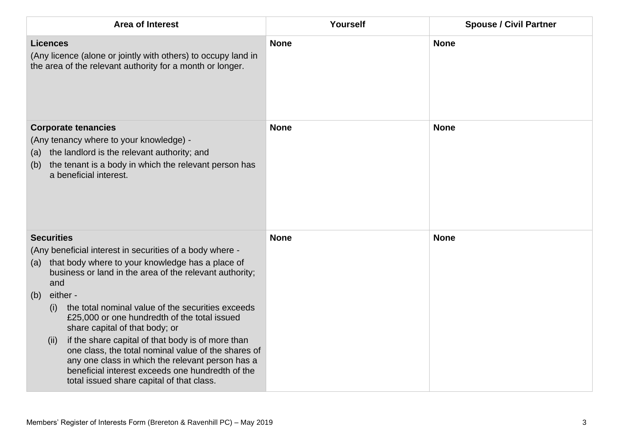| <b>Area of Interest</b>                                                                                                                                                                                                                                                                                                                                                                                             | Yourself    | <b>Spouse / Civil Partner</b> |
|---------------------------------------------------------------------------------------------------------------------------------------------------------------------------------------------------------------------------------------------------------------------------------------------------------------------------------------------------------------------------------------------------------------------|-------------|-------------------------------|
| <b>Licences</b><br>(Any licence (alone or jointly with others) to occupy land in<br>the area of the relevant authority for a month or longer.                                                                                                                                                                                                                                                                       | <b>None</b> | <b>None</b>                   |
| <b>Corporate tenancies</b><br>(Any tenancy where to your knowledge) -<br>the landlord is the relevant authority; and<br>(a)<br>the tenant is a body in which the relevant person has<br>(b)<br>a beneficial interest.                                                                                                                                                                                               | <b>None</b> | <b>None</b>                   |
| <b>Securities</b><br>(Any beneficial interest in securities of a body where -<br>that body where to your knowledge has a place of<br>(a)<br>business or land in the area of the relevant authority;<br>and<br>either -<br>(b)                                                                                                                                                                                       | <b>None</b> | <b>None</b>                   |
| the total nominal value of the securities exceeds<br>(i)<br>£25,000 or one hundredth of the total issued<br>share capital of that body; or<br>if the share capital of that body is of more than<br>(ii)<br>one class, the total nominal value of the shares of<br>any one class in which the relevant person has a<br>beneficial interest exceeds one hundredth of the<br>total issued share capital of that class. |             |                               |